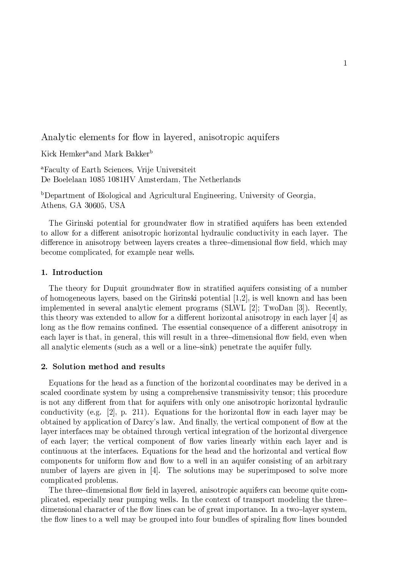Analytic elements for flow in layered, anisotropic aquifers

Kick Hemker<sup>a</sup> and Mark Bakker<sup>b</sup>

<sup>a</sup>Faculty of Earth Sciences, Vrije Universiteit De Boelelaan 1085 1081HV Amsterdam, The Netherlands

<sup>b</sup>Department of Biological and Agricultural Engineering, University of Georgia. Athens, GA 30605, USA

The Girinski potential for groundwater flow in stratified aquifers has been extended to allow for a different anisotropic horizontal hydraulic conductivity in each layer. The difference in anisotropy between layers creates a three-dimensional flow field, which may become complicated, for example near wells.

## 1. Introduction

The theory for Dupuit groundwater flow in stratified aquifers consisting of a number of homogeneous layers, based on the Girinski potential  $[1,2]$ , is well known and has been implemented in several analytic element programs (SLWL [2]: TwoDan [3]). Recently, this theory was extended to allow for a different horizontal anisotropy in each layer [4] as long as the flow remains confined. The essential consequence of a different anisotropy in each layer is that, in general, this will result in a three-dimensional flow field, even when all analytic elements (such as a well or a line-sink) penetrate the aquifer fully.

## 2. Solution method and results

Equations for the head as a function of the horizontal coordinates may be derived in a scaled coordinate system by using a comprehensive transmissivity tensor; this procedure is not any different from that for aquifers with only one anisotropic horizontal hydraulic conductivity (e.g. [2], p. 211). Equations for the horizontal flow in each layer may be obtained by application of Darcy's law. And finally, the vertical component of flow at the layer interfaces may be obtained through vertical integration of the horizontal divergence of each layer; the vertical component of flow varies linearly within each layer and is continuous at the interfaces. Equations for the head and the horizontal and vertical flow components for uniform flow and flow to a well in an aquifer consisting of an arbitrary number of layers are given in [4]. The solutions may be superimposed to solve more complicated problems.

The three-dimensional flow field in layered, anisotropic aquifers can become quite complicated, especially near pumping wells. In the context of transport modeling the threedimensional character of the flow lines can be of great importance. In a two-layer system, the flow lines to a well may be grouped into four bundles of spiraling flow lines bounded